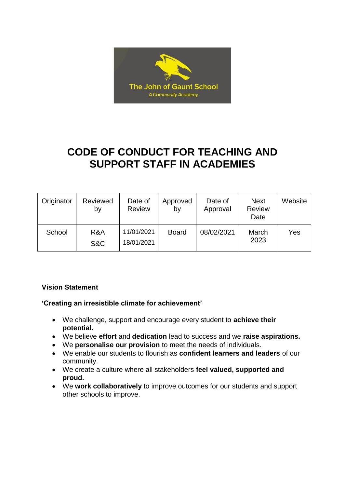

# **CODE OF CONDUCT FOR TEACHING AND SUPPORT STAFF IN ACADEMIES**

| Originator | Reviewed<br>by | Date of<br><b>Review</b> | Approved<br>by | Date of<br>Approval | <b>Next</b><br><b>Review</b><br>Date | Website |
|------------|----------------|--------------------------|----------------|---------------------|--------------------------------------|---------|
| School     | R&A<br>S&C     | 11/01/2021<br>18/01/2021 | <b>Board</b>   | 08/02/2021          | March<br>2023                        | Yes     |

## **Vision Statement**

## **'Creating an irresistible climate for achievement'**

- We challenge, support and encourage every student to **achieve their potential.**
- We believe **effort** and **dedication** lead to success and we **raise aspirations.**
- We **personalise our provision** to meet the needs of individuals.
- We enable our students to flourish as **confident learners and leaders** of our community.
- We create a culture where all stakeholders **feel valued, supported and proud.**
- We **work collaboratively** to improve outcomes for our students and support other schools to improve.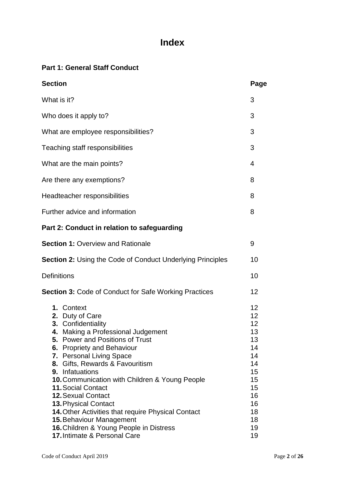## **Index**

## **Part 1: General Staff Conduct**

| <b>Section</b>                                                                                                                                                                                                                                                                                                                                                                                                                                                                                                                                                        | Page                                                                                               |
|-----------------------------------------------------------------------------------------------------------------------------------------------------------------------------------------------------------------------------------------------------------------------------------------------------------------------------------------------------------------------------------------------------------------------------------------------------------------------------------------------------------------------------------------------------------------------|----------------------------------------------------------------------------------------------------|
| What is it?                                                                                                                                                                                                                                                                                                                                                                                                                                                                                                                                                           | 3                                                                                                  |
| Who does it apply to?                                                                                                                                                                                                                                                                                                                                                                                                                                                                                                                                                 | 3                                                                                                  |
| What are employee responsibilities?                                                                                                                                                                                                                                                                                                                                                                                                                                                                                                                                   | 3                                                                                                  |
| Teaching staff responsibilities                                                                                                                                                                                                                                                                                                                                                                                                                                                                                                                                       | 3                                                                                                  |
| What are the main points?                                                                                                                                                                                                                                                                                                                                                                                                                                                                                                                                             | 4                                                                                                  |
| Are there any exemptions?                                                                                                                                                                                                                                                                                                                                                                                                                                                                                                                                             | 8                                                                                                  |
| Headteacher responsibilities                                                                                                                                                                                                                                                                                                                                                                                                                                                                                                                                          | 8                                                                                                  |
| Further advice and information                                                                                                                                                                                                                                                                                                                                                                                                                                                                                                                                        | 8                                                                                                  |
| Part 2: Conduct in relation to safeguarding                                                                                                                                                                                                                                                                                                                                                                                                                                                                                                                           |                                                                                                    |
| <b>Section 1: Overview and Rationale</b>                                                                                                                                                                                                                                                                                                                                                                                                                                                                                                                              | 9                                                                                                  |
| <b>Section 2: Using the Code of Conduct Underlying Principles</b>                                                                                                                                                                                                                                                                                                                                                                                                                                                                                                     | 10                                                                                                 |
| <b>Definitions</b>                                                                                                                                                                                                                                                                                                                                                                                                                                                                                                                                                    | 10                                                                                                 |
| Section 3: Code of Conduct for Safe Working Practices                                                                                                                                                                                                                                                                                                                                                                                                                                                                                                                 | 12                                                                                                 |
| 1. Context<br>2. Duty of Care<br>3. Confidentiality<br>4. Making a Professional Judgement<br><b>5.</b> Power and Positions of Trust<br>6. Propriety and Behaviour<br>7. Personal Living Space<br>Gifts, Rewards & Favouritism<br>8.<br>9. Infatuations<br>10. Communication with Children & Young People<br><b>11. Social Contact</b><br><b>12. Sexual Contact</b><br><b>13. Physical Contact</b><br>14. Other Activities that require Physical Contact<br><b>15. Behaviour Management</b><br>16. Children & Young People in Distress<br>17. Intimate & Personal Care | 12<br>12<br>12<br>13<br>13<br>14<br>14<br>14<br>15<br>15<br>15<br>16<br>16<br>18<br>18<br>19<br>19 |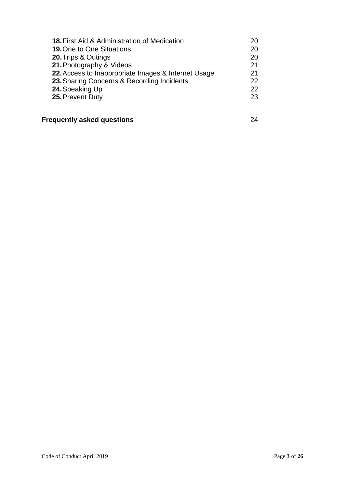| <b>18. First Aid &amp; Administration of Medication</b> | 20 |
|---------------------------------------------------------|----|
| <b>19. One to One Situations</b>                        | 20 |
| 20. Trips & Outings                                     | 20 |
| 21. Photography & Videos                                | 21 |
| 22. Access to Inappropriate Images & Internet Usage     | 21 |
| 23. Sharing Concerns & Recording Incidents              | 22 |
| 24. Speaking Up                                         | 22 |
| 25. Prevent Duty                                        | 23 |
|                                                         |    |

## **Frequently asked questions** 24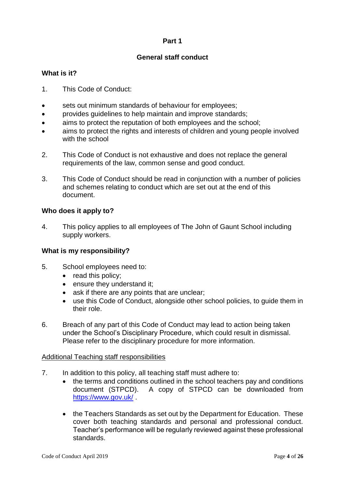## **Part 1**

## **General staff conduct**

## **What is it?**

- 1. This Code of Conduct:
- sets out minimum standards of behaviour for employees:
- provides guidelines to help maintain and improve standards;
- aims to protect the reputation of both employees and the school;
- aims to protect the rights and interests of children and young people involved with the school
- 2. This Code of Conduct is not exhaustive and does not replace the general requirements of the law, common sense and good conduct.
- 3. This Code of Conduct should be read in conjunction with a number of policies and schemes relating to conduct which are set out at the end of this document.

#### **Who does it apply to?**

4. This policy applies to all employees of The John of Gaunt School including supply workers.

## **What is my responsibility?**

- 5. School employees need to:
	- read this policy;
	- ensure they understand it:
	- ask if there are any points that are unclear:
	- use this Code of Conduct, alongside other school policies, to guide them in their role.
- 6. Breach of any part of this Code of Conduct may lead to action being taken under the School's Disciplinary Procedure, which could result in dismissal. Please refer to the disciplinary procedure for more information.

#### Additional Teaching staff responsibilities

- 7. In addition to this policy, all teaching staff must adhere to:
	- the terms and conditions outlined in the school teachers pay and conditions document (STPCD). A copy of STPCD can be downloaded from <https://www.gov.uk/> .
	- the Teachers Standards as set out by the Department for Education. These cover both teaching standards and personal and professional conduct. Teacher's performance will be regularly reviewed against these professional standards.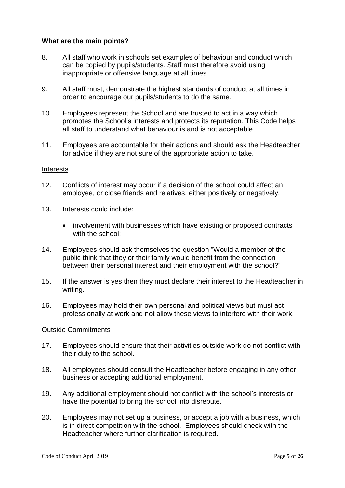#### **What are the main points?**

- 8. All staff who work in schools set examples of behaviour and conduct which can be copied by pupils/students. Staff must therefore avoid using inappropriate or offensive language at all times.
- 9. All staff must, demonstrate the highest standards of conduct at all times in order to encourage our pupils/students to do the same.
- 10. Employees represent the School and are trusted to act in a way which promotes the School's interests and protects its reputation. This Code helps all staff to understand what behaviour is and is not acceptable
- 11. Employees are accountable for their actions and should ask the Headteacher for advice if they are not sure of the appropriate action to take.

#### Interests

- 12. Conflicts of interest may occur if a decision of the school could affect an employee, or close friends and relatives, either positively or negatively.
- 13. Interests could include:
	- involvement with businesses which have existing or proposed contracts with the school;
- 14. Employees should ask themselves the question "Would a member of the public think that they or their family would benefit from the connection between their personal interest and their employment with the school?"
- 15. If the answer is yes then they must declare their interest to the Headteacher in writing.
- 16. Employees may hold their own personal and political views but must act professionally at work and not allow these views to interfere with their work.

#### Outside Commitments

- 17. Employees should ensure that their activities outside work do not conflict with their duty to the school.
- 18. All employees should consult the Headteacher before engaging in any other business or accepting additional employment.
- 19. Any additional employment should not conflict with the school's interests or have the potential to bring the school into disrepute.
- 20. Employees may not set up a business, or accept a job with a business, which is in direct competition with the school. Employees should check with the Headteacher where further clarification is required.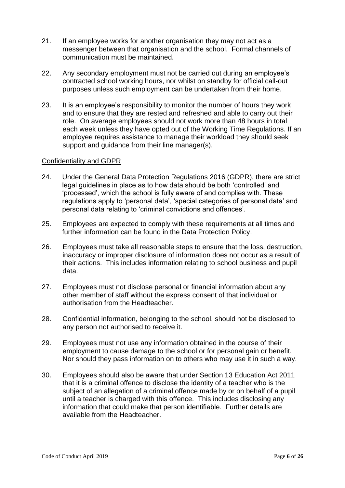- 21. If an employee works for another organisation they may not act as a messenger between that organisation and the school. Formal channels of communication must be maintained.
- 22. Any secondary employment must not be carried out during an employee's contracted school working hours, nor whilst on standby for official call-out purposes unless such employment can be undertaken from their home.
- 23. It is an employee's responsibility to monitor the number of hours they work and to ensure that they are rested and refreshed and able to carry out their role. On average employees should not work more than 48 hours in total each week unless they have opted out of the Working Time Regulations. If an employee requires assistance to manage their workload they should seek support and guidance from their line manager(s).

#### Confidentiality and GDPR

- 24. Under the General Data Protection Regulations 2016 (GDPR), there are strict legal guidelines in place as to how data should be both 'controlled' and 'processed', which the school is fully aware of and complies with. These regulations apply to 'personal data', 'special categories of personal data' and personal data relating to 'criminal convictions and offences'.
- 25. Employees are expected to comply with these requirements at all times and further information can be found in the Data Protection Policy.
- 26. Employees must take all reasonable steps to ensure that the loss, destruction, inaccuracy or improper disclosure of information does not occur as a result of their actions. This includes information relating to school business and pupil data.
- 27. Employees must not disclose personal or financial information about any other member of staff without the express consent of that individual or authorisation from the Headteacher.
- 28. Confidential information, belonging to the school, should not be disclosed to any person not authorised to receive it.
- 29. Employees must not use any information obtained in the course of their employment to cause damage to the school or for personal gain or benefit. Nor should they pass information on to others who may use it in such a way.
- 30. Employees should also be aware that under Section 13 Education Act 2011 that it is a criminal offence to disclose the identity of a teacher who is the subject of an allegation of a criminal offence made by or on behalf of a pupil until a teacher is charged with this offence. This includes disclosing any information that could make that person identifiable. Further details are available from the Headteacher.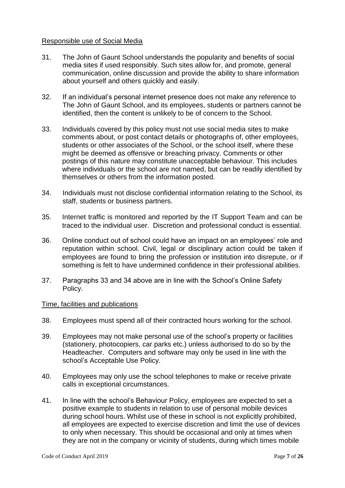#### Responsible use of Social Media

- 31. The John of Gaunt School understands the popularity and benefits of social media sites if used responsibly. Such sites allow for, and promote, general communication, online discussion and provide the ability to share information about yourself and others quickly and easily.
- 32. If an individual's personal internet presence does not make any reference to The John of Gaunt School, and its employees, students or partners cannot be identified, then the content is unlikely to be of concern to the School.
- 33. Individuals covered by this policy must not use social media sites to make comments about, or post contact details or photographs of, other employees, students or other associates of the School, or the school itself, where these might be deemed as offensive or breaching privacy. Comments or other postings of this nature may constitute unacceptable behaviour. This includes where individuals or the school are not named, but can be readily identified by themselves or others from the information posted.
- 34. Individuals must not disclose confidential information relating to the School, its staff, students or business partners.
- 35. Internet traffic is monitored and reported by the IT Support Team and can be traced to the individual user. Discretion and professional conduct is essential.
- 36. Online conduct out of school could have an impact on an employees' role and reputation within school. Civil, legal or disciplinary action could be taken if employees are found to bring the profession or institution into disrepute, or if something is felt to have undermined confidence in their professional abilities.
- 37. Paragraphs 33 and 34 above are in line with the School's Online Safety Policy.

#### Time, facilities and publications

- 38. Employees must spend all of their contracted hours working for the school.
- 39. Employees may not make personal use of the school's property or facilities (stationery, photocopiers, car parks etc.) unless authorised to do so by the Headteacher. Computers and software may only be used in line with the school's Acceptable Use Policy.
- 40. Employees may only use the school telephones to make or receive private calls in exceptional circumstances.
- 41. In line with the school's Behaviour Policy, employees are expected to set a positive example to students in relation to use of personal mobile devices during school hours. Whilst use of these in school is not explicitly prohibited, all employees are expected to exercise discretion and limit the use of devices to only when necessary. This should be occasional and only at times when they are not in the company or vicinity of students, during which times mobile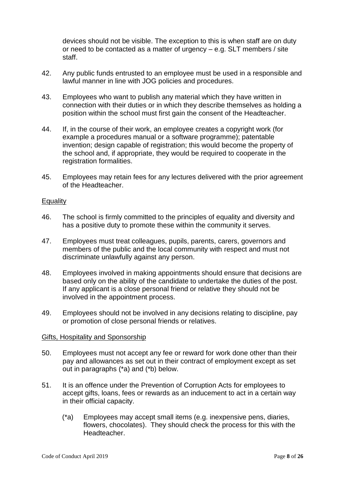devices should not be visible. The exception to this is when staff are on duty or need to be contacted as a matter of urgency – e.g. SLT members / site staff.

- 42. Any public funds entrusted to an employee must be used in a responsible and lawful manner in line with JOG policies and procedures.
- 43. Employees who want to publish any material which they have written in connection with their duties or in which they describe themselves as holding a position within the school must first gain the consent of the Headteacher.
- 44. If, in the course of their work, an employee creates a copyright work (for example a procedures manual or a software programme); patentable invention; design capable of registration; this would become the property of the school and, if appropriate, they would be required to cooperate in the registration formalities.
- 45. Employees may retain fees for any lectures delivered with the prior agreement of the Headteacher.

#### **Equality**

- 46. The school is firmly committed to the principles of equality and diversity and has a positive duty to promote these within the community it serves.
- 47. Employees must treat colleagues, pupils, parents, carers, governors and members of the public and the local community with respect and must not discriminate unlawfully against any person.
- 48. Employees involved in making appointments should ensure that decisions are based only on the ability of the candidate to undertake the duties of the post. If any applicant is a close personal friend or relative they should not be involved in the appointment process.
- 49. Employees should not be involved in any decisions relating to discipline, pay or promotion of close personal friends or relatives.

#### Gifts, Hospitality and Sponsorship

- 50. Employees must not accept any fee or reward for work done other than their pay and allowances as set out in their contract of employment except as set out in paragraphs (\*a) and (\*b) below.
- 51. It is an offence under the Prevention of Corruption Acts for employees to accept gifts, loans, fees or rewards as an inducement to act in a certain way in their official capacity.
	- (\*a) Employees may accept small items (e.g. inexpensive pens, diaries, flowers, chocolates). They should check the process for this with the Headteacher.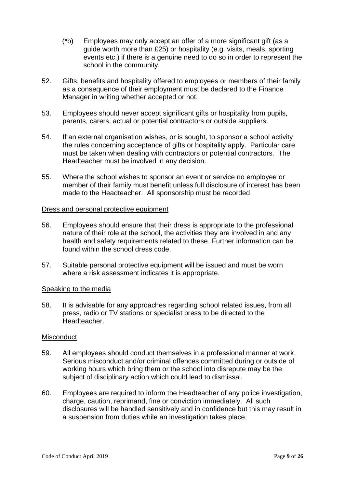- (\*b) Employees may only accept an offer of a more significant gift (as a guide worth more than £25) or hospitality (e.g. visits, meals, sporting events etc.) if there is a genuine need to do so in order to represent the school in the community.
- 52. Gifts, benefits and hospitality offered to employees or members of their family as a consequence of their employment must be declared to the Finance Manager in writing whether accepted or not.
- 53. Employees should never accept significant gifts or hospitality from pupils, parents, carers, actual or potential contractors or outside suppliers.
- 54. If an external organisation wishes, or is sought, to sponsor a school activity the rules concerning acceptance of gifts or hospitality apply. Particular care must be taken when dealing with contractors or potential contractors. The Headteacher must be involved in any decision.
- 55. Where the school wishes to sponsor an event or service no employee or member of their family must benefit unless full disclosure of interest has been made to the Headteacher. All sponsorship must be recorded.

#### Dress and personal protective equipment

- 56. Employees should ensure that their dress is appropriate to the professional nature of their role at the school, the activities they are involved in and any health and safety requirements related to these. Further information can be found within the school dress code.
- 57. Suitable personal protective equipment will be issued and must be worn where a risk assessment indicates it is appropriate.

#### Speaking to the media

58. It is advisable for any approaches regarding school related issues, from all press, radio or TV stations or specialist press to be directed to the **Headteacher** 

#### **Misconduct**

- 59. All employees should conduct themselves in a professional manner at work. Serious misconduct and/or criminal offences committed during or outside of working hours which bring them or the school into disrepute may be the subject of disciplinary action which could lead to dismissal.
- 60. Employees are required to inform the Headteacher of any police investigation, charge, caution, reprimand, fine or conviction immediately. All such disclosures will be handled sensitively and in confidence but this may result in a suspension from duties while an investigation takes place.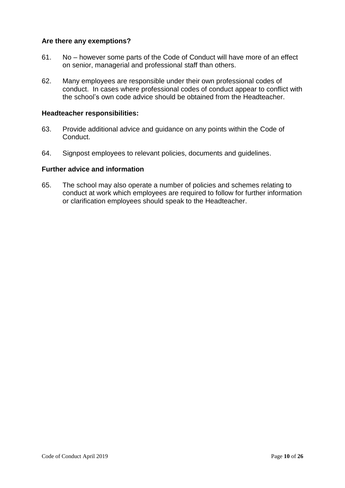#### **Are there any exemptions?**

- 61. No however some parts of the Code of Conduct will have more of an effect on senior, managerial and professional staff than others.
- 62. Many employees are responsible under their own professional codes of conduct. In cases where professional codes of conduct appear to conflict with the school's own code advice should be obtained from the Headteacher.

#### **Headteacher responsibilities:**

- 63. Provide additional advice and guidance on any points within the Code of Conduct.
- 64. Signpost employees to relevant policies, documents and guidelines.

#### **Further advice and information**

65. The school may also operate a number of policies and schemes relating to conduct at work which employees are required to follow for further information or clarification employees should speak to the Headteacher.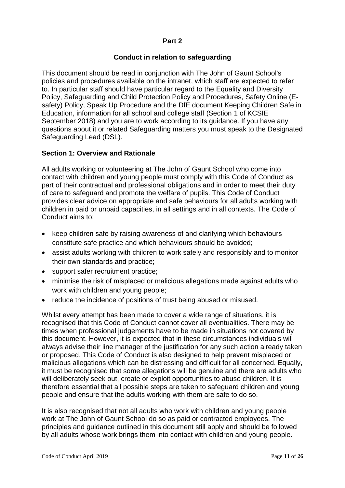#### **Part 2**

## **Conduct in relation to safeguarding**

This document should be read in conjunction with The John of Gaunt School's policies and procedures available on the intranet, which staff are expected to refer to. In particular staff should have particular regard to the Equality and Diversity Policy, Safeguarding and Child Protection Policy and Procedures, Safety Online (Esafety) Policy, Speak Up Procedure and the DfE document Keeping Children Safe in Education, information for all school and college staff (Section 1 of KCSIE September 2018) and you are to work according to its guidance. If you have any questions about it or related Safeguarding matters you must speak to the Designated Safeguarding Lead (DSL).

#### **Section 1: Overview and Rationale**

All adults working or volunteering at The John of Gaunt School who come into contact with children and young people must comply with this Code of Conduct as part of their contractual and professional obligations and in order to meet their duty of care to safeguard and promote the welfare of pupils. This Code of Conduct provides clear advice on appropriate and safe behaviours for all adults working with children in paid or unpaid capacities, in all settings and in all contexts. The Code of Conduct aims to:

- keep children safe by raising awareness of and clarifying which behaviours constitute safe practice and which behaviours should be avoided;
- assist adults working with children to work safely and responsibly and to monitor their own standards and practice;
- support safer recruitment practice;
- minimise the risk of misplaced or malicious allegations made against adults who work with children and young people;
- reduce the incidence of positions of trust being abused or misused.

Whilst every attempt has been made to cover a wide range of situations, it is recognised that this Code of Conduct cannot cover all eventualities. There may be times when professional judgements have to be made in situations not covered by this document. However, it is expected that in these circumstances individuals will always advise their line manager of the justification for any such action already taken or proposed. This Code of Conduct is also designed to help prevent misplaced or malicious allegations which can be distressing and difficult for all concerned. Equally, it must be recognised that some allegations will be genuine and there are adults who will deliberately seek out, create or exploit opportunities to abuse children. It is therefore essential that all possible steps are taken to safeguard children and young people and ensure that the adults working with them are safe to do so.

It is also recognised that not all adults who work with children and young people work at The John of Gaunt School do so as paid or contracted employees. The principles and guidance outlined in this document still apply and should be followed by all adults whose work brings them into contact with children and young people.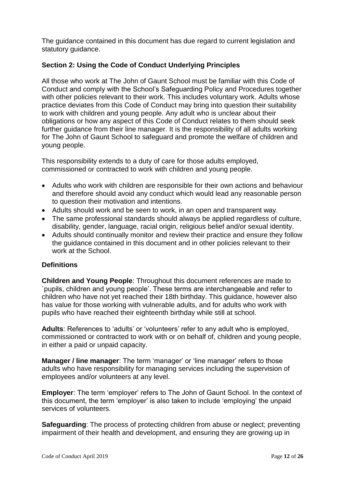The guidance contained in this document has due regard to current legislation and statutory guidance.

## **Section 2: Using the Code of Conduct Underlying Principles**

All those who work at The John of Gaunt School must be familiar with this Code of Conduct and comply with the School's Safeguarding Policy and Procedures together with other policies relevant to their work. This includes voluntary work. Adults whose practice deviates from this Code of Conduct may bring into question their suitability to work with children and young people. Any adult who is unclear about their obligations or how any aspect of this Code of Conduct relates to them should seek further guidance from their line manager. It is the responsibility of all adults working for The John of Gaunt School to safeguard and promote the welfare of children and young people.

This responsibility extends to a duty of care for those adults employed, commissioned or contracted to work with children and young people.

- Adults who work with children are responsible for their own actions and behaviour and therefore should avoid any conduct which would lead any reasonable person to question their motivation and intentions.
- Adults should work and be seen to work, in an open and transparent way.
- The same professional standards should always be applied regardless of culture, disability, gender, language, racial origin, religious belief and/or sexual identity.
- Adults should continually monitor and review their practice and ensure they follow the guidance contained in this document and in other policies relevant to their work at the School.

## **Definitions**

**Children and Young People**: Throughout this document references are made to `pupils, children and young people'. These terms are interchangeable and refer to children who have not yet reached their 18th birthday. This guidance, however also has value for those working with vulnerable adults, and for adults who work with pupils who have reached their eighteenth birthday while still at school.

**Adults**: References to 'adults' or 'volunteers' refer to any adult who is employed, commissioned or contracted to work with or on behalf of, children and young people, in either a paid or unpaid capacity.

**Manager / line manager**: The term 'manager' or 'line manager' refers to those adults who have responsibility for managing services including the supervision of employees and/or volunteers at any level.

**Employer**: The term 'employer' refers to The John of Gaunt School. In the context of this document, the term 'employer' is also taken to include 'employing' the unpaid services of volunteers.

**Safeguarding**: The process of protecting children from abuse or neglect; preventing impairment of their health and development, and ensuring they are growing up in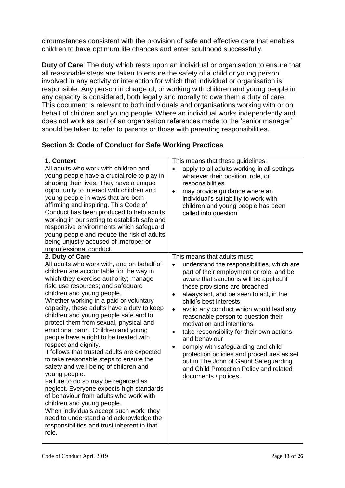circumstances consistent with the provision of safe and effective care that enables children to have optimum life chances and enter adulthood successfully.

**Duty of Care**: The duty which rests upon an individual or organisation to ensure that all reasonable steps are taken to ensure the safety of a child or young person involved in any activity or interaction for which that individual or organisation is responsible. Any person in charge of, or working with children and young people in any capacity is considered, both legally and morally to owe them a duty of care. This document is relevant to both individuals and organisations working with or on behalf of children and young people. Where an individual works independently and does not work as part of an organisation references made to the 'senior manager' should be taken to refer to parents or those with parenting responsibilities.

## **Section 3: Code of Conduct for Safe Working Practices**

| 1. Context<br>All adults who work with children and<br>young people have a crucial role to play in<br>shaping their lives. They have a unique<br>opportunity to interact with children and<br>young people in ways that are both<br>affirming and inspiring. This Code of<br>Conduct has been produced to help adults<br>working in our setting to establish safe and<br>responsive environments which safeguard<br>young people and reduce the risk of adults<br>being unjustly accused of improper or<br>unprofessional conduct.                                                                                                                                                                                                                                                                                                                                                                                                                                  | This means that these guidelines:<br>apply to all adults working in all settings<br>whatever their position, role, or<br>responsibilities<br>may provide guidance where an<br>$\bullet$<br>individual's suitability to work with<br>children and young people has been<br>called into question.                                                                                                                                                                                                                                                                                                                                                                                                                    |
|---------------------------------------------------------------------------------------------------------------------------------------------------------------------------------------------------------------------------------------------------------------------------------------------------------------------------------------------------------------------------------------------------------------------------------------------------------------------------------------------------------------------------------------------------------------------------------------------------------------------------------------------------------------------------------------------------------------------------------------------------------------------------------------------------------------------------------------------------------------------------------------------------------------------------------------------------------------------|--------------------------------------------------------------------------------------------------------------------------------------------------------------------------------------------------------------------------------------------------------------------------------------------------------------------------------------------------------------------------------------------------------------------------------------------------------------------------------------------------------------------------------------------------------------------------------------------------------------------------------------------------------------------------------------------------------------------|
| 2. Duty of Care<br>All adults who work with, and on behalf of<br>children are accountable for the way in<br>which they exercise authority; manage<br>risk; use resources; and safeguard<br>children and young people.<br>Whether working in a paid or voluntary<br>capacity, these adults have a duty to keep<br>children and young people safe and to<br>protect them from sexual, physical and<br>emotional harm. Children and young<br>people have a right to be treated with<br>respect and dignity.<br>It follows that trusted adults are expected<br>to take reasonable steps to ensure the<br>safety and well-being of children and<br>young people.<br>Failure to do so may be regarded as<br>neglect. Everyone expects high standards<br>of behaviour from adults who work with<br>children and young people.<br>When individuals accept such work, they<br>need to understand and acknowledge the<br>responsibilities and trust inherent in that<br>role. | This means that adults must:<br>understand the responsibilities, which are<br>$\bullet$<br>part of their employment or role, and be<br>aware that sanctions will be applied if<br>these provisions are breached<br>always act, and be seen to act, in the<br>$\bullet$<br>child's best interests<br>avoid any conduct which would lead any<br>$\bullet$<br>reasonable person to question their<br>motivation and intentions<br>take responsibility for their own actions<br>$\bullet$<br>and behaviour<br>comply with safeguarding and child<br>$\bullet$<br>protection policies and procedures as set<br>out in The John of Gaunt Safeguarding<br>and Child Protection Policy and related<br>documents / polices. |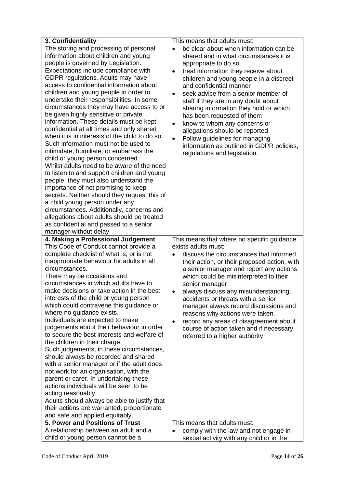| 3. Confidentiality                                                                      | This means that adults must:                         |
|-----------------------------------------------------------------------------------------|------------------------------------------------------|
| The storing and processing of personal                                                  | be clear about when information can be<br>$\bullet$  |
| information about children and young                                                    | shared and in what circumstances it is               |
| people is governed by Legislation.                                                      | appropriate to do so                                 |
| Expectations include compliance with                                                    | treat information they receive about<br>$\bullet$    |
| GDPR regulations. Adults may have                                                       | children and young people in a discreet              |
| access to confidential information about                                                | and confidential manner                              |
| children and young people in order to                                                   | seek advice from a senior member of<br>$\bullet$     |
| undertake their responsibilities. In some                                               | staff if they are in any doubt about                 |
| circumstances they may have access to or                                                | sharing information they hold or which               |
| be given highly sensitive or private                                                    | has been requested of them                           |
| information. These details must be kept                                                 | know to whom any concerns or<br>$\bullet$            |
| confidential at all times and only shared                                               | allegations should be reported                       |
| when it is in interests of the child to do so.                                          | Follow guidelines for managing<br>$\bullet$          |
| Such information must not be used to                                                    | information as outlined in GDPR policies,            |
| intimidate, humiliate, or embarrass the                                                 | regulations and legislation.                         |
| child or young person concerned.                                                        |                                                      |
| Whilst adults need to be aware of the need                                              |                                                      |
| to listen to and support children and young                                             |                                                      |
| people, they must also understand the                                                   |                                                      |
| importance of not promising to keep                                                     |                                                      |
| secrets. Neither should they request this of                                            |                                                      |
| a child young person under any                                                          |                                                      |
| circumstances. Additionally, concerns and<br>allegations about adults should be treated |                                                      |
| as confidential and passed to a senior                                                  |                                                      |
| manager without delay.                                                                  |                                                      |
| 4. Making a Professional Judgement                                                      | This means that where no specific guidance           |
| This Code of Conduct cannot provide a                                                   | exists adults must:                                  |
| complete checklist of what is, or is not                                                | discuss the circumstances that informed<br>$\bullet$ |
| inappropriate behaviour for adults in all                                               | their action, or their proposed action, with         |
| circumstances.                                                                          | a senior manager and report any actions              |
| There may be occasions and                                                              | which could be misinterpreted to their               |
| circumstances in which adults have to                                                   | senior manager                                       |
| make decisions or take action in the best                                               | always discuss any misunderstanding,<br>$\bullet$    |
| interests of the child or young person                                                  | accidents or threats with a senior                   |
| which could contravene this guidance or                                                 | manager always record discussions and                |
| where no guidance exists.                                                               | reasons why actions were taken.                      |
| Individuals are expected to make                                                        | record any areas of disagreement about<br>$\bullet$  |
| judgements about their behaviour in order                                               | course of action taken and if necessary              |
| to secure the best interests and welfare of                                             | referred to a higher authority                       |
| the children in their charge.                                                           |                                                      |
| Such judgements, in these circumstances,                                                |                                                      |
| should always be recorded and shared                                                    |                                                      |
| with a senior manager or if the adult does                                              |                                                      |
| not work for an organisation, with the                                                  |                                                      |
| parent or carer. In undertaking these<br>actions individuals will be seen to be         |                                                      |
| acting reasonably.                                                                      |                                                      |
| Adults should always be able to justify that                                            |                                                      |
| their actions are warranted, proportionate                                              |                                                      |
| and safe and applied equitably.                                                         |                                                      |
| 5. Power and Positions of Trust                                                         | This means that adults must:                         |
| A relationship between an adult and a                                                   | comply with the law and not engage in<br>$\bullet$   |
| child or young person cannot be a                                                       | sexual activity with any child or in the             |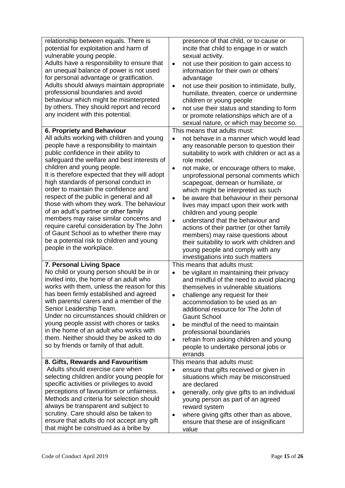| relationship between equals. There is<br>potential for exploitation and harm of<br>vulnerable young people.<br>Adults have a responsibility to ensure that<br>an unequal balance of power is not used<br>for personal advantage or gratification.<br>Adults should always maintain appropriate<br>professional boundaries and avoid<br>behaviour which might be misinterpreted<br>by others. They should report and record<br>any incident with this potential.                                                                                                                                                                                                                                                          | presence of that child, or to cause or<br>incite that child to engage in or watch<br>sexual activity.<br>not use their position to gain access to<br>$\bullet$<br>information for their own or others'<br>advantage<br>not use their position to intimidate, bully,<br>$\bullet$<br>humiliate, threaten, coerce or undermine<br>children or young people<br>not use their status and standing to form<br>$\bullet$<br>or promote relationships which are of a<br>sexual nature, or which may become so.                                                                                                                                                                                                                                                                  |
|--------------------------------------------------------------------------------------------------------------------------------------------------------------------------------------------------------------------------------------------------------------------------------------------------------------------------------------------------------------------------------------------------------------------------------------------------------------------------------------------------------------------------------------------------------------------------------------------------------------------------------------------------------------------------------------------------------------------------|--------------------------------------------------------------------------------------------------------------------------------------------------------------------------------------------------------------------------------------------------------------------------------------------------------------------------------------------------------------------------------------------------------------------------------------------------------------------------------------------------------------------------------------------------------------------------------------------------------------------------------------------------------------------------------------------------------------------------------------------------------------------------|
| 6. Propriety and Behaviour<br>All adults working with children and young<br>people have a responsibility to maintain<br>public confidence in their ability to<br>safeguard the welfare and best interests of<br>children and young people.<br>It is therefore expected that they will adopt<br>high standards of personal conduct in<br>order to maintain the confidence and<br>respect of the public in general and all<br>those with whom they work. The behaviour<br>of an adult's partner or other family<br>members may raise similar concerns and<br>require careful consideration by The John<br>of Gaunt School as to whether there may<br>be a potential risk to children and young<br>people in the workplace. | This means that adults must:<br>not behave in a manner which would lead<br>$\bullet$<br>any reasonable person to question their<br>suitability to work with children or act as a<br>role model.<br>not make, or encourage others to make,<br>$\bullet$<br>unprofessional personal comments which<br>scapegoat, demean or humiliate, or<br>which might be interpreted as such<br>be aware that behaviour in their personal<br>$\bullet$<br>lives may impact upon their work with<br>children and young people<br>understand that the behaviour and<br>$\bullet$<br>actions of their partner (or other family<br>members) may raise questions about<br>their suitability to work with children and<br>young people and comply with any<br>investigations into such matters |
| 7. Personal Living Space<br>No child or young person should be in or<br>invited into, the home of an adult who<br>works with them, unless the reason for this<br>has been firmly established and agreed<br>with parents/ carers and a member of the<br>Senior Leadership Team.<br>Under no circumstances should children or<br>young people assist with chores or tasks<br>in the home of an adult who works with<br>them. Neither should they be asked to do<br>so by friends or family of that adult.                                                                                                                                                                                                                  | This means that adults must:<br>be vigilant in maintaining their privacy<br>$\bullet$<br>and mindful of the need to avoid placing<br>themselves in vulnerable situations<br>challenge any request for their<br>accommodation to be used as an<br>additional resource for The John of<br><b>Gaunt School</b><br>be mindful of the need to maintain<br>$\bullet$<br>professional boundaries<br>refrain from asking children and young<br>$\bullet$<br>people to undertake personal jobs or<br>errands                                                                                                                                                                                                                                                                      |
| 8. Gifts, Rewards and Favouritism<br>Adults should exercise care when<br>selecting children and/or young people for<br>specific activities or privileges to avoid<br>perceptions of favouritism or unfairness.<br>Methods and criteria for selection should<br>always be transparent and subject to<br>scrutiny. Care should also be taken to<br>ensure that adults do not accept any gift<br>that might be construed as a bribe by                                                                                                                                                                                                                                                                                      | This means that adults must:<br>ensure that gifts received or given in<br>situations which may be misconstrued<br>are declared<br>generally, only give gifts to an individual<br>$\bullet$<br>young person as part of an agreed<br>reward system<br>where giving gifts other than as above,<br>٠<br>ensure that these are of insignificant<br>value                                                                                                                                                                                                                                                                                                                                                                                                                      |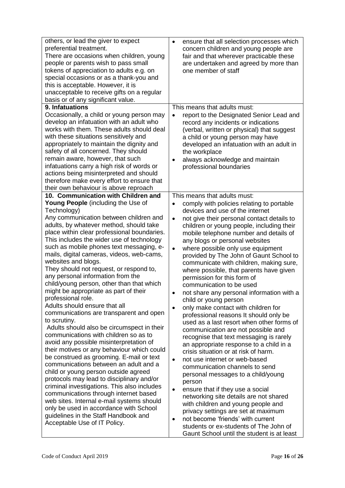| others, or lead the giver to expect<br>preferential treatment.<br>There are occasions when children, young<br>people or parents wish to pass small<br>tokens of appreciation to adults e.g. on<br>special occasions or as a thank-you and<br>this is acceptable. However, it is<br>unacceptable to receive gifts on a regular<br>basis or of any significant value.                                                                                                                                                                                                                                                                                                                                                                                                                                                                                                                                                                                                                                                                                                                                                                                                                                                                                         | ensure that all selection processes which<br>$\bullet$<br>concern children and young people are<br>fair and that wherever practicable these<br>are undertaken and agreed by more than<br>one member of staff                                                                                                                                                                                                                                                                                                                                                                                                                                                                                                                                                                                                                                                                                                                                                                                                                                                                                                                                                                                                                                                                                                                                                       |
|-------------------------------------------------------------------------------------------------------------------------------------------------------------------------------------------------------------------------------------------------------------------------------------------------------------------------------------------------------------------------------------------------------------------------------------------------------------------------------------------------------------------------------------------------------------------------------------------------------------------------------------------------------------------------------------------------------------------------------------------------------------------------------------------------------------------------------------------------------------------------------------------------------------------------------------------------------------------------------------------------------------------------------------------------------------------------------------------------------------------------------------------------------------------------------------------------------------------------------------------------------------|--------------------------------------------------------------------------------------------------------------------------------------------------------------------------------------------------------------------------------------------------------------------------------------------------------------------------------------------------------------------------------------------------------------------------------------------------------------------------------------------------------------------------------------------------------------------------------------------------------------------------------------------------------------------------------------------------------------------------------------------------------------------------------------------------------------------------------------------------------------------------------------------------------------------------------------------------------------------------------------------------------------------------------------------------------------------------------------------------------------------------------------------------------------------------------------------------------------------------------------------------------------------------------------------------------------------------------------------------------------------|
| 9. Infatuations<br>Occasionally, a child or young person may<br>develop an infatuation with an adult who<br>works with them. These adults should deal<br>with these situations sensitively and<br>appropriately to maintain the dignity and<br>safety of all concerned. They should<br>remain aware, however, that such<br>infatuations carry a high risk of words or<br>actions being misinterpreted and should<br>therefore make every effort to ensure that<br>their own behaviour is above reproach<br>10. Communication with Children and                                                                                                                                                                                                                                                                                                                                                                                                                                                                                                                                                                                                                                                                                                              | This means that adults must:<br>report to the Designated Senior Lead and<br>$\bullet$<br>record any incidents or indications<br>(verbal, written or physical) that suggest<br>a child or young person may have<br>developed an infatuation with an adult in<br>the workplace<br>always acknowledge and maintain<br>$\bullet$<br>professional boundaries<br>This means that adults must:                                                                                                                                                                                                                                                                                                                                                                                                                                                                                                                                                                                                                                                                                                                                                                                                                                                                                                                                                                            |
| Young People (including the Use of<br>Technology)<br>Any communication between children and<br>adults, by whatever method, should take<br>place within clear professional boundaries.<br>This includes the wider use of technology<br>such as mobile phones text messaging, e-<br>mails, digital cameras, videos, web-cams,<br>websites and blogs.<br>They should not request, or respond to,<br>any personal information from the<br>child/young person, other than that which<br>might be appropriate as part of their<br>professional role.<br>Adults should ensure that all<br>communications are transparent and open<br>to scrutiny.<br>Adults should also be circumspect in their<br>communications with children so as to<br>avoid any possible misinterpretation of<br>their motives or any behaviour which could<br>be construed as grooming. E-mail or text<br>communications between an adult and a<br>child or young person outside agreed<br>protocols may lead to disciplinary and/or<br>criminal investigations. This also includes<br>communications through internet based<br>web sites. Internal e-mail systems should<br>only be used in accordance with School<br>guidelines in the Staff Handbook and<br>Acceptable Use of IT Policy. | comply with policies relating to portable<br>$\bullet$<br>devices and use of the internet<br>not give their personal contact details to<br>$\bullet$<br>children or young people, including their<br>mobile telephone number and details of<br>any blogs or personal websites<br>where possible only use equipment<br>$\bullet$<br>provided by The John of Gaunt School to<br>communicate with children, making sure,<br>where possible, that parents have given<br>permission for this form of<br>communication to be used<br>not share any personal information with a<br>child or young person<br>only make contact with children for<br>$\bullet$<br>professional reasons It should only be<br>used as a last resort when other forms of<br>communication are not possible and<br>recognise that text messaging is rarely<br>an appropriate response to a child in a<br>crisis situation or at risk of harm.<br>not use internet or web-based<br>$\bullet$<br>communication channels to send<br>personal messages to a child/young<br>person<br>ensure that if they use a social<br>$\bullet$<br>networking site details are not shared<br>with children and young people and<br>privacy settings are set at maximum<br>not become 'friends' with current<br>$\bullet$<br>students or ex-students of The John of<br>Gaunt School until the student is at least |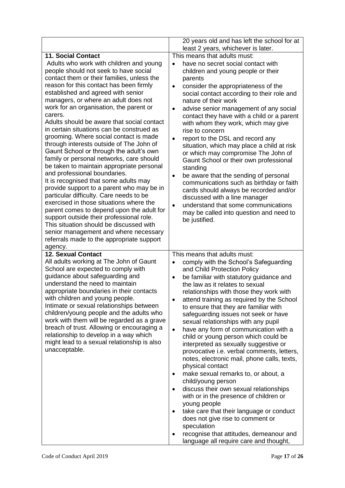|                                                                                                                                                                                                                                                                                                                                                                                                                                                                                                                                                                                                                                                                                                                                                                                                                                                                                                                                                                                                                                                                                     | 20 years old and has left the school for at                                                                                                                                                                                                                                                                                                                                                                                                                                                                                                                                                                                                                                                                                                                                                                                                                                                                                                                                                                                                                                                                |
|-------------------------------------------------------------------------------------------------------------------------------------------------------------------------------------------------------------------------------------------------------------------------------------------------------------------------------------------------------------------------------------------------------------------------------------------------------------------------------------------------------------------------------------------------------------------------------------------------------------------------------------------------------------------------------------------------------------------------------------------------------------------------------------------------------------------------------------------------------------------------------------------------------------------------------------------------------------------------------------------------------------------------------------------------------------------------------------|------------------------------------------------------------------------------------------------------------------------------------------------------------------------------------------------------------------------------------------------------------------------------------------------------------------------------------------------------------------------------------------------------------------------------------------------------------------------------------------------------------------------------------------------------------------------------------------------------------------------------------------------------------------------------------------------------------------------------------------------------------------------------------------------------------------------------------------------------------------------------------------------------------------------------------------------------------------------------------------------------------------------------------------------------------------------------------------------------------|
| <b>11. Social Contact</b>                                                                                                                                                                                                                                                                                                                                                                                                                                                                                                                                                                                                                                                                                                                                                                                                                                                                                                                                                                                                                                                           | least 2 years, whichever is later.<br>This means that adults must:                                                                                                                                                                                                                                                                                                                                                                                                                                                                                                                                                                                                                                                                                                                                                                                                                                                                                                                                                                                                                                         |
| Adults who work with children and young<br>people should not seek to have social<br>contact them or their families, unless the<br>reason for this contact has been firmly<br>established and agreed with senior<br>managers, or where an adult does not<br>work for an organisation, the parent or<br>carers.<br>Adults should be aware that social contact<br>in certain situations can be construed as<br>grooming. Where social contact is made<br>through interests outside of The John of<br>Gaunt School or through the adult's own<br>family or personal networks, care should<br>be taken to maintain appropriate personal<br>and professional boundaries.<br>It is recognised that some adults may<br>provide support to a parent who may be in<br>particular difficulty. Care needs to be<br>exercised in those situations where the<br>parent comes to depend upon the adult for<br>support outside their professional role.<br>This situation should be discussed with<br>senior management and where necessary<br>referrals made to the appropriate support<br>agency. | have no secret social contact with<br>$\bullet$<br>children and young people or their<br>parents<br>consider the appropriateness of the<br>$\bullet$<br>social contact according to their role and<br>nature of their work<br>advise senior management of any social<br>$\bullet$<br>contact they have with a child or a parent<br>with whom they work, which may give<br>rise to concern<br>report to the DSL and record any<br>$\bullet$<br>situation, which may place a child at risk<br>or which may compromise The John of<br>Gaunt School or their own professional<br>standing<br>be aware that the sending of personal<br>$\bullet$<br>communications such as birthday or faith<br>cards should always be recorded and/or<br>discussed with a line manager<br>understand that some communications<br>$\bullet$<br>may be called into question and need to<br>be justified.                                                                                                                                                                                                                         |
| <b>12. Sexual Contact</b><br>All adults working at The John of Gaunt<br>School are expected to comply with<br>guidance about safeguarding and<br>understand the need to maintain<br>appropriate boundaries in their contacts<br>with children and young people.<br>Intimate or sexual relationships between<br>children/young people and the adults who<br>work with them will be regarded as a grave<br>breach of trust. Allowing or encouraging a<br>relationship to develop in a way which<br>might lead to a sexual relationship is also<br>unacceptable.                                                                                                                                                                                                                                                                                                                                                                                                                                                                                                                       | This means that adults must:<br>comply with the School's Safeguarding<br>$\bullet$<br>and Child Protection Policy<br>be familiar with statutory guidance and<br>$\bullet$<br>the law as it relates to sexual<br>relationships with those they work with<br>attend training as required by the School<br>$\bullet$<br>to ensure that they are familiar with<br>safeguarding issues not seek or have<br>sexual relationships with any pupil<br>have any form of communication with a<br>$\bullet$<br>child or young person which could be<br>interpreted as sexually suggestive or<br>provocative i.e. verbal comments, letters,<br>notes, electronic mail, phone calls, texts,<br>physical contact<br>make sexual remarks to, or about, a<br>$\bullet$<br>child/young person<br>discuss their own sexual relationships<br>$\bullet$<br>with or in the presence of children or<br>young people<br>take care that their language or conduct<br>$\bullet$<br>does not give rise to comment or<br>speculation<br>recognise that attitudes, demeanour and<br>$\bullet$<br>language all require care and thought, |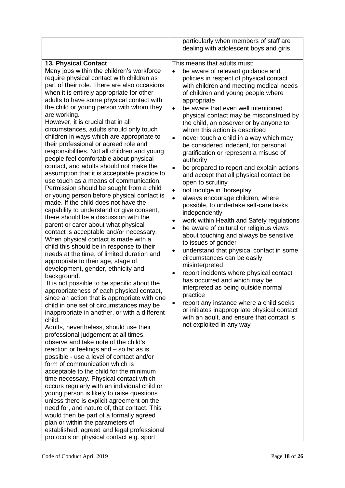|                                                                                                                                                                                                                                                                                                                                                                                                                                                                                                                                                                                                                                                                                                                                                                                                                                                                                                                                                                                                                                                                                                                                                                                                                                                                                                                                                                                                                                                                                                                                                                                                                                                                                                                                                                                                                                                                                                                                                                                                                                                                                                                                                                                                                                        | particularly when members of staff are<br>dealing with adolescent boys and girls.                                                                                                                                                                                                                                                                                                                                                                                                                                                                                                                                                                                                                                                                                                                                                                                                                                                                                                                                                                                                                                                                                                                                                                                                                                                                                                                                                     |
|----------------------------------------------------------------------------------------------------------------------------------------------------------------------------------------------------------------------------------------------------------------------------------------------------------------------------------------------------------------------------------------------------------------------------------------------------------------------------------------------------------------------------------------------------------------------------------------------------------------------------------------------------------------------------------------------------------------------------------------------------------------------------------------------------------------------------------------------------------------------------------------------------------------------------------------------------------------------------------------------------------------------------------------------------------------------------------------------------------------------------------------------------------------------------------------------------------------------------------------------------------------------------------------------------------------------------------------------------------------------------------------------------------------------------------------------------------------------------------------------------------------------------------------------------------------------------------------------------------------------------------------------------------------------------------------------------------------------------------------------------------------------------------------------------------------------------------------------------------------------------------------------------------------------------------------------------------------------------------------------------------------------------------------------------------------------------------------------------------------------------------------------------------------------------------------------------------------------------------------|---------------------------------------------------------------------------------------------------------------------------------------------------------------------------------------------------------------------------------------------------------------------------------------------------------------------------------------------------------------------------------------------------------------------------------------------------------------------------------------------------------------------------------------------------------------------------------------------------------------------------------------------------------------------------------------------------------------------------------------------------------------------------------------------------------------------------------------------------------------------------------------------------------------------------------------------------------------------------------------------------------------------------------------------------------------------------------------------------------------------------------------------------------------------------------------------------------------------------------------------------------------------------------------------------------------------------------------------------------------------------------------------------------------------------------------|
| <b>13. Physical Contact</b><br>Many jobs within the children's workforce<br>require physical contact with children as<br>part of their role. There are also occasions<br>when it is entirely appropriate for other<br>adults to have some physical contact with<br>the child or young person with whom they<br>are working.<br>However, it is crucial that in all<br>circumstances, adults should only touch<br>children in ways which are appropriate to<br>their professional or agreed role and<br>responsibilities. Not all children and young<br>people feel comfortable about physical<br>contact, and adults should not make the<br>assumption that it is acceptable practice to<br>use touch as a means of communication.<br>Permission should be sought from a child<br>or young person before physical contact is<br>made. If the child does not have the<br>capability to understand or give consent,<br>there should be a discussion with the<br>parent or carer about what physical<br>contact is acceptable and/or necessary.<br>When physical contact is made with a<br>child this should be in response to their<br>needs at the time, of limited duration and<br>appropriate to their age, stage of<br>development, gender, ethnicity and<br>background.<br>It is not possible to be specific about the<br>appropriateness of each physical contact,<br>since an action that is appropriate with one<br>child in one set of circumstances may be<br>inappropriate in another, or with a different<br>child.<br>Adults, nevertheless, should use their<br>professional judgement at all times,<br>observe and take note of the child's<br>reaction or feelings and - so far as is<br>possible - use a level of contact and/or<br>form of communication which is<br>acceptable to the child for the minimum<br>time necessary. Physical contact which<br>occurs regularly with an individual child or<br>young person is likely to raise questions<br>unless there is explicit agreement on the<br>need for, and nature of, that contact. This<br>would then be part of a formally agreed<br>plan or within the parameters of<br>established, agreed and legal professional<br>protocols on physical contact e.g. sport | This means that adults must:<br>be aware of relevant guidance and<br>policies in respect of physical contact<br>with children and meeting medical needs<br>of children and young people where<br>appropriate<br>be aware that even well intentioned<br>$\bullet$<br>physical contact may be misconstrued by<br>the child, an observer or by anyone to<br>whom this action is described<br>never touch a child in a way which may<br>$\bullet$<br>be considered indecent, for personal<br>gratification or represent a misuse of<br>authority<br>be prepared to report and explain actions<br>$\bullet$<br>and accept that all physical contact be<br>open to scrutiny<br>not indulge in 'horseplay'<br>$\bullet$<br>always encourage children, where<br>$\bullet$<br>possible, to undertake self-care tasks<br>independently<br>work within Health and Safety regulations<br>٠<br>be aware of cultural or religious views<br>$\bullet$<br>about touching and always be sensitive<br>to issues of gender<br>understand that physical contact in some<br>$\bullet$<br>circumstances can be easily<br>misinterpreted<br>report incidents where physical contact<br>$\bullet$<br>has occurred and which may be<br>interpreted as being outside normal<br>practice<br>report any instance where a child seeks<br>٠<br>or initiates inappropriate physical contact<br>with an adult, and ensure that contact is<br>not exploited in any way |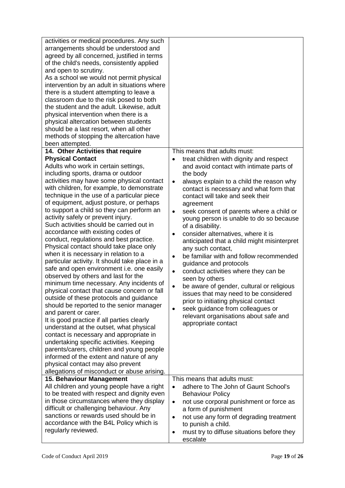| activities or medical procedures. Any such<br>arrangements should be understood and<br>agreed by all concerned, justified in terms<br>of the child's needs, consistently applied<br>and open to scrutiny.<br>As a school we would not permit physical<br>intervention by an adult in situations where<br>there is a student attempting to leave a<br>classroom due to the risk posed to both<br>the student and the adult. Likewise, adult<br>physical intervention when there is a<br>physical altercation between students<br>should be a last resort, when all other<br>methods of stopping the altercation have<br>been attempted.<br>14. Other Activities that require<br><b>Physical Contact</b><br>Adults who work in certain settings,<br>including sports, drama or outdoor<br>activities may have some physical contact<br>with children, for example, to demonstrate<br>technique in the use of a particular piece<br>of equipment, adjust posture, or perhaps<br>to support a child so they can perform an<br>activity safely or prevent injury.<br>Such activities should be carried out in<br>accordance with existing codes of<br>conduct, regulations and best practice.<br>Physical contact should take place only<br>when it is necessary in relation to a<br>particular activity. It should take place in a<br>safe and open environment i.e. one easily<br>observed by others and last for the<br>minimum time necessary. Any incidents of<br>physical contact that cause concern or fall<br>outside of these protocols and guidance<br>should be reported to the senior manager<br>and parent or carer.<br>It is good practice if all parties clearly | This means that adults must:<br>treat children with dignity and respect<br>$\bullet$<br>and avoid contact with intimate parts of<br>the body<br>always explain to a child the reason why<br>$\bullet$<br>contact is necessary and what form that<br>contact will take and seek their<br>agreement<br>seek consent of parents where a child or<br>$\bullet$<br>young person is unable to do so because<br>of a disability.<br>consider alternatives, where it is<br>$\bullet$<br>anticipated that a child might misinterpret<br>any such contact,<br>be familiar with and follow recommended<br>$\bullet$<br>guidance and protocols<br>conduct activities where they can be<br>$\bullet$<br>seen by others<br>be aware of gender, cultural or religious<br>$\bullet$<br>issues that may need to be considered<br>prior to initiating physical contact<br>seek guidance from colleagues or<br>$\bullet$<br>relevant organisations about safe and |
|----------------------------------------------------------------------------------------------------------------------------------------------------------------------------------------------------------------------------------------------------------------------------------------------------------------------------------------------------------------------------------------------------------------------------------------------------------------------------------------------------------------------------------------------------------------------------------------------------------------------------------------------------------------------------------------------------------------------------------------------------------------------------------------------------------------------------------------------------------------------------------------------------------------------------------------------------------------------------------------------------------------------------------------------------------------------------------------------------------------------------------------------------------------------------------------------------------------------------------------------------------------------------------------------------------------------------------------------------------------------------------------------------------------------------------------------------------------------------------------------------------------------------------------------------------------------------------------------------------------------------------------------------------------------------|------------------------------------------------------------------------------------------------------------------------------------------------------------------------------------------------------------------------------------------------------------------------------------------------------------------------------------------------------------------------------------------------------------------------------------------------------------------------------------------------------------------------------------------------------------------------------------------------------------------------------------------------------------------------------------------------------------------------------------------------------------------------------------------------------------------------------------------------------------------------------------------------------------------------------------------------|
| understand at the outset, what physical<br>contact is necessary and appropriate in<br>undertaking specific activities. Keeping<br>parents/carers, children and young people<br>informed of the extent and nature of any<br>physical contact may also prevent                                                                                                                                                                                                                                                                                                                                                                                                                                                                                                                                                                                                                                                                                                                                                                                                                                                                                                                                                                                                                                                                                                                                                                                                                                                                                                                                                                                                               | appropriate contact                                                                                                                                                                                                                                                                                                                                                                                                                                                                                                                                                                                                                                                                                                                                                                                                                                                                                                                            |
| allegations of misconduct or abuse arising.                                                                                                                                                                                                                                                                                                                                                                                                                                                                                                                                                                                                                                                                                                                                                                                                                                                                                                                                                                                                                                                                                                                                                                                                                                                                                                                                                                                                                                                                                                                                                                                                                                |                                                                                                                                                                                                                                                                                                                                                                                                                                                                                                                                                                                                                                                                                                                                                                                                                                                                                                                                                |
| 15. Behaviour Management<br>All children and young people have a right<br>to be treated with respect and dignity even<br>in those circumstances where they display<br>difficult or challenging behaviour. Any<br>sanctions or rewards used should be in<br>accordance with the B4L Policy which is<br>regularly reviewed.                                                                                                                                                                                                                                                                                                                                                                                                                                                                                                                                                                                                                                                                                                                                                                                                                                                                                                                                                                                                                                                                                                                                                                                                                                                                                                                                                  | This means that adults must:<br>adhere to The John of Gaunt School's<br>$\bullet$<br><b>Behaviour Policy</b><br>not use corporal punishment or force as<br>$\bullet$<br>a form of punishment<br>not use any form of degrading treatment<br>$\bullet$<br>to punish a child.<br>must try to diffuse situations before they<br>$\bullet$<br>escalate                                                                                                                                                                                                                                                                                                                                                                                                                                                                                                                                                                                              |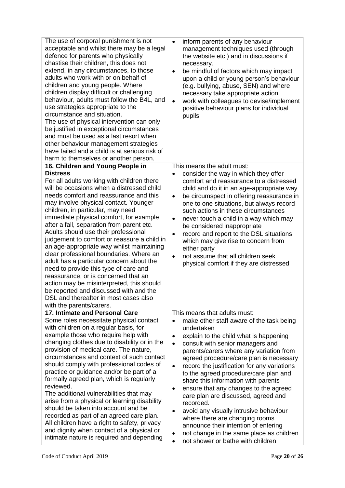| The use of corporal punishment is not<br>acceptable and whilst there may be a legal<br>defence for parents who physically<br>chastise their children, this does not<br>extend, in any circumstances, to those<br>adults who work with or on behalf of<br>children and young people. Where<br>children display difficult or challenging<br>behaviour, adults must follow the B4L, and<br>use strategies appropriate to the<br>circumstance and situation.<br>The use of physical intervention can only<br>be justified in exceptional circumstances<br>and must be used as a last resort when<br>other behaviour management strategies<br>have failed and a child is at serious risk of<br>harm to themselves or another person. | inform parents of any behaviour<br>$\bullet$<br>management techniques used (through<br>the website etc.) and in discussions if<br>necessary.<br>be mindful of factors which may impact<br>upon a child or young person's behaviour<br>(e.g. bullying, abuse, SEN) and where<br>necessary take appropriate action<br>work with colleagues to devise/implement<br>$\bullet$<br>positive behaviour plans for individual<br>pupils |
|---------------------------------------------------------------------------------------------------------------------------------------------------------------------------------------------------------------------------------------------------------------------------------------------------------------------------------------------------------------------------------------------------------------------------------------------------------------------------------------------------------------------------------------------------------------------------------------------------------------------------------------------------------------------------------------------------------------------------------|--------------------------------------------------------------------------------------------------------------------------------------------------------------------------------------------------------------------------------------------------------------------------------------------------------------------------------------------------------------------------------------------------------------------------------|
| 16. Children and Young People in<br><b>Distress</b><br>For all adults working with children there<br>will be occasions when a distressed child                                                                                                                                                                                                                                                                                                                                                                                                                                                                                                                                                                                  | This means the adult must:<br>consider the way in which they offer<br>$\bullet$<br>comfort and reassurance to a distressed<br>child and do it in an age-appropriate way                                                                                                                                                                                                                                                        |
| needs comfort and reassurance and this<br>may involve physical contact. Younger<br>children, in particular, may need<br>immediate physical comfort, for example<br>after a fall, separation from parent etc.<br>Adults should use their professional                                                                                                                                                                                                                                                                                                                                                                                                                                                                            | be circumspect in offering reassurance in<br>$\bullet$<br>one to one situations, but always record<br>such actions in these circumstances<br>never touch a child in a way which may<br>$\bullet$<br>be considered inappropriate                                                                                                                                                                                                |
| judgement to comfort or reassure a child in<br>an age-appropriate way whilst maintaining<br>clear professional boundaries. Where an<br>adult has a particular concern about the                                                                                                                                                                                                                                                                                                                                                                                                                                                                                                                                                 | record and report to the DSL situations<br>$\bullet$<br>which may give rise to concern from<br>either party<br>not assume that all children seek<br>$\bullet$<br>physical comfort if they are distressed                                                                                                                                                                                                                       |
| need to provide this type of care and<br>reassurance, or is concerned that an<br>action may be misinterpreted, this should<br>be reported and discussed with and the<br>DSL and thereafter in most cases also                                                                                                                                                                                                                                                                                                                                                                                                                                                                                                                   |                                                                                                                                                                                                                                                                                                                                                                                                                                |
| with the parents/carers.                                                                                                                                                                                                                                                                                                                                                                                                                                                                                                                                                                                                                                                                                                        |                                                                                                                                                                                                                                                                                                                                                                                                                                |
| 17. Intimate and Personal Care<br>Some roles necessitate physical contact                                                                                                                                                                                                                                                                                                                                                                                                                                                                                                                                                                                                                                                       | This means that adults must:<br>make other staff aware of the task being                                                                                                                                                                                                                                                                                                                                                       |
| with children on a regular basis, for<br>example those who require help with                                                                                                                                                                                                                                                                                                                                                                                                                                                                                                                                                                                                                                                    | undertaken<br>explain to the child what is happening<br>$\bullet$                                                                                                                                                                                                                                                                                                                                                              |
| changing clothes due to disability or in the                                                                                                                                                                                                                                                                                                                                                                                                                                                                                                                                                                                                                                                                                    | consult with senior managers and<br>$\bullet$                                                                                                                                                                                                                                                                                                                                                                                  |
| provision of medical care. The nature,<br>circumstances and context of such contact                                                                                                                                                                                                                                                                                                                                                                                                                                                                                                                                                                                                                                             | parents/carers where any variation from<br>agreed procedure/care plan is necessary                                                                                                                                                                                                                                                                                                                                             |
| should comply with professional codes of                                                                                                                                                                                                                                                                                                                                                                                                                                                                                                                                                                                                                                                                                        | record the justification for any variations<br>$\bullet$                                                                                                                                                                                                                                                                                                                                                                       |
| practice or guidance and/or be part of a<br>formally agreed plan, which is regularly                                                                                                                                                                                                                                                                                                                                                                                                                                                                                                                                                                                                                                            | to the agreed procedure/care plan and<br>share this information with parents                                                                                                                                                                                                                                                                                                                                                   |
| reviewed.<br>The additional vulnerabilities that may                                                                                                                                                                                                                                                                                                                                                                                                                                                                                                                                                                                                                                                                            | ensure that any changes to the agreed<br>٠                                                                                                                                                                                                                                                                                                                                                                                     |
| arise from a physical or learning disability                                                                                                                                                                                                                                                                                                                                                                                                                                                                                                                                                                                                                                                                                    | care plan are discussed, agreed and<br>recorded.                                                                                                                                                                                                                                                                                                                                                                               |
| should be taken into account and be                                                                                                                                                                                                                                                                                                                                                                                                                                                                                                                                                                                                                                                                                             | avoid any visually intrusive behaviour<br>$\bullet$                                                                                                                                                                                                                                                                                                                                                                            |
| recorded as part of an agreed care plan.<br>All children have a right to safety, privacy                                                                                                                                                                                                                                                                                                                                                                                                                                                                                                                                                                                                                                        | where there are changing rooms<br>announce their intention of entering                                                                                                                                                                                                                                                                                                                                                         |
| and dignity when contact of a physical or<br>intimate nature is required and depending                                                                                                                                                                                                                                                                                                                                                                                                                                                                                                                                                                                                                                          | not change in the same place as children<br>$\bullet$                                                                                                                                                                                                                                                                                                                                                                          |
|                                                                                                                                                                                                                                                                                                                                                                                                                                                                                                                                                                                                                                                                                                                                 | not shower or bathe with children                                                                                                                                                                                                                                                                                                                                                                                              |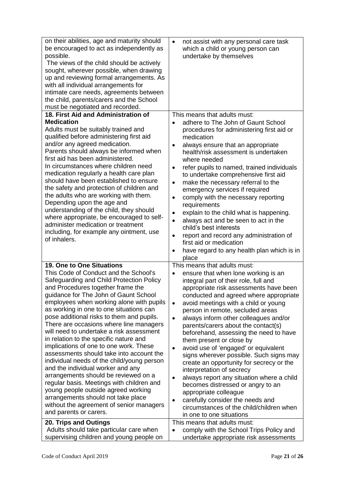| on their abilities, age and maturity should<br>be encouraged to act as independently as<br>possible.<br>The views of the child should be actively<br>sought, wherever possible, when drawing<br>up and reviewing formal arrangements. As<br>with all individual arrangements for<br>intimate care needs, agreements between<br>the child, parents/carers and the School<br>must be negotiated and recorded.                                                                                                                                                                                                                                                                                                                                                                                                                                                                        | not assist with any personal care task<br>$\bullet$<br>which a child or young person can<br>undertake by themselves                                                                                                                                                                                                                                                                                                                                                                                                                                                                                                                                                                                                                                                                                                                                                                                          |
|------------------------------------------------------------------------------------------------------------------------------------------------------------------------------------------------------------------------------------------------------------------------------------------------------------------------------------------------------------------------------------------------------------------------------------------------------------------------------------------------------------------------------------------------------------------------------------------------------------------------------------------------------------------------------------------------------------------------------------------------------------------------------------------------------------------------------------------------------------------------------------|--------------------------------------------------------------------------------------------------------------------------------------------------------------------------------------------------------------------------------------------------------------------------------------------------------------------------------------------------------------------------------------------------------------------------------------------------------------------------------------------------------------------------------------------------------------------------------------------------------------------------------------------------------------------------------------------------------------------------------------------------------------------------------------------------------------------------------------------------------------------------------------------------------------|
| 18. First Aid and Administration of<br><b>Medication</b><br>Adults must be suitably trained and<br>qualified before administering first aid<br>and/or any agreed medication.<br>Parents should always be informed when<br>first aid has been administered.<br>In circumstances where children need<br>medication regularly a health care plan<br>should have been established to ensure<br>the safety and protection of children and<br>the adults who are working with them.<br>Depending upon the age and<br>understanding of the child, they should<br>where appropriate, be encouraged to self-<br>administer medication or treatment<br>including, for example any ointment, use<br>of inhalers.                                                                                                                                                                              | This means that adults must:<br>adhere to The John of Gaunt School<br>procedures for administering first aid or<br>medication<br>always ensure that an appropriate<br>$\bullet$<br>health/risk assessment is undertaken<br>where needed<br>refer pupils to named, trained individuals<br>$\bullet$<br>to undertake comprehensive first aid<br>make the necessary referral to the<br>$\bullet$<br>emergency services if required<br>comply with the necessary reporting<br>$\bullet$<br>requirements<br>explain to the child what is happening.<br>$\bullet$<br>always act and be seen to act in the<br>child's best interests<br>report and record any administration of<br>$\bullet$<br>first aid or medication<br>have regard to any health plan which is in                                                                                                                                               |
| 19. One to One Situations<br>This Code of Conduct and the School's<br>Safeguarding and Child Protection Policy<br>and Procedures together frame the<br>guidance for The John of Gaunt School<br>employees when working alone with pupils<br>as working in one to one situations can<br>pose additional risks to them and pupils.<br>There are occasions where line managers<br>will need to undertake a risk assessment<br>in relation to the specific nature and<br>implications of one to one work. These<br>assessments should take into account the<br>individual needs of the child/young person<br>and the individual worker and any<br>arrangements should be reviewed on a<br>regular basis. Meetings with children and<br>young people outside agreed working<br>arrangements should not take place<br>without the agreement of senior managers<br>and parents or carers. | place<br>This means that adults must:<br>ensure that when lone working is an<br>$\bullet$<br>integral part of their role, full and<br>appropriate risk assessments have been<br>conducted and agreed where appropriate<br>avoid meetings with a child or young<br>$\bullet$<br>person in remote, secluded areas<br>always inform other colleagues and/or<br>$\bullet$<br>parents/carers about the contact(s)<br>beforehand, assessing the need to have<br>them present or close by<br>avoid use of 'engaged' or equivalent<br>$\bullet$<br>signs wherever possible. Such signs may<br>create an opportunity for secrecy or the<br>interpretation of secrecy<br>always report any situation where a child<br>$\bullet$<br>becomes distressed or angry to an<br>appropriate colleague<br>carefully consider the needs and<br>$\bullet$<br>circumstances of the child/children when<br>in one to one situations |
| 20. Trips and Outings<br>Adults should take particular care when<br>supervising children and young people on                                                                                                                                                                                                                                                                                                                                                                                                                                                                                                                                                                                                                                                                                                                                                                       | This means that adults must:<br>comply with the School Trips Policy and<br>$\bullet$<br>undertake appropriate risk assessments                                                                                                                                                                                                                                                                                                                                                                                                                                                                                                                                                                                                                                                                                                                                                                               |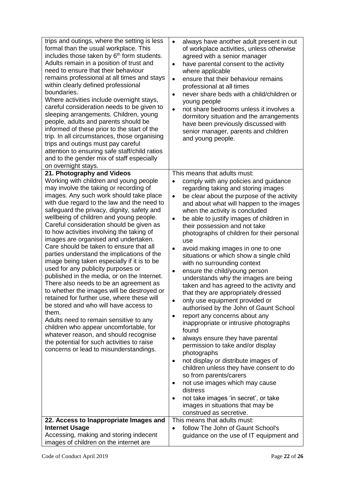| trips and outings, where the setting is less<br>formal than the usual workplace. This<br>includes those taken by 6 <sup>th</sup> form students.<br>Adults remain in a position of trust and<br>need to ensure that their behaviour<br>remains professional at all times and stays<br>within clearly defined professional<br>boundaries.<br>Where activities include overnight stays,<br>careful consideration needs to be given to<br>sleeping arrangements. Children, young<br>people, adults and parents should be<br>informed of these prior to the start of the<br>trip. In all circumstances, those organising<br>trips and outings must pay careful<br>attention to ensuring safe staff/child ratios<br>and to the gender mix of staff especially<br>on overnight stays.                                                                                                                                                                                                                                                                                              | always have another adult present in out<br>$\bullet$<br>of workplace activities, unless otherwise<br>agreed with a senior manager<br>have parental consent to the activity<br>$\bullet$<br>where applicable<br>ensure that their behaviour remains<br>$\bullet$<br>professional at all times<br>never share beds with a child/children or<br>$\bullet$<br>young people<br>not share bedrooms unless it involves a<br>$\bullet$<br>dormitory situation and the arrangements<br>have been previously discussed with<br>senior manager, parents and children<br>and young people.                                                                                                                                                                                                                                                                                                                                                                                                                                                                                                                                                                                                                                                                   |
|-----------------------------------------------------------------------------------------------------------------------------------------------------------------------------------------------------------------------------------------------------------------------------------------------------------------------------------------------------------------------------------------------------------------------------------------------------------------------------------------------------------------------------------------------------------------------------------------------------------------------------------------------------------------------------------------------------------------------------------------------------------------------------------------------------------------------------------------------------------------------------------------------------------------------------------------------------------------------------------------------------------------------------------------------------------------------------|---------------------------------------------------------------------------------------------------------------------------------------------------------------------------------------------------------------------------------------------------------------------------------------------------------------------------------------------------------------------------------------------------------------------------------------------------------------------------------------------------------------------------------------------------------------------------------------------------------------------------------------------------------------------------------------------------------------------------------------------------------------------------------------------------------------------------------------------------------------------------------------------------------------------------------------------------------------------------------------------------------------------------------------------------------------------------------------------------------------------------------------------------------------------------------------------------------------------------------------------------|
| 21. Photography and Videos<br>Working with children and young people<br>may involve the taking or recording of<br>images. Any such work should take place<br>with due regard to the law and the need to<br>safeguard the privacy, dignity, safety and<br>wellbeing of children and young people.<br>Careful consideration should be given as<br>to how activities involving the taking of<br>images are organised and undertaken.<br>Care should be taken to ensure that all<br>parties understand the implications of the<br>image being taken especially if it is to be<br>used for any publicity purposes or<br>published in the media, or on the Internet.<br>There also needs to be an agreement as<br>to whether the images will be destroyed or<br>retained for further use, where these will<br>be stored and who will have access to<br>them.<br>Adults need to remain sensitive to any<br>children who appear uncomfortable, for<br>whatever reason, and should recognise<br>the potential for such activities to raise<br>concerns or lead to misunderstandings. | This means that adults must:<br>comply with any policies and guidance<br>regarding taking and storing images<br>be clear about the purpose of the activity<br>$\bullet$<br>and about what will happen to the images<br>when the activity is concluded<br>be able to justify images of children in<br>$\bullet$<br>their possession and not take<br>photographs of children for their personal<br>use<br>avoid making images in one to one<br>٠<br>situations or which show a single child<br>with no surrounding context<br>ensure the child/young person<br>$\bullet$<br>understands why the images are being<br>taken and has agreed to the activity and<br>that they are appropriately dressed<br>only use equipment provided or<br>authorised by the John of Gaunt School<br>report any concerns about any<br>$\bullet$<br>inappropriate or intrusive photographs<br>found<br>always ensure they have parental<br>permission to take and/or display<br>photographs<br>not display or distribute images of<br>٠<br>children unless they have consent to do<br>so from parents/carers<br>not use images which may cause<br>distress<br>not take images 'in secret', or take<br>٠<br>images in situations that may be<br>construed as secretive. |
| 22. Access to Inappropriate Images and<br><b>Internet Usage</b><br>Accessing, making and storing indecent<br>images of children on the internet are                                                                                                                                                                                                                                                                                                                                                                                                                                                                                                                                                                                                                                                                                                                                                                                                                                                                                                                         | This means that adults must:<br>follow The John of Gaunt School's<br>$\bullet$<br>guidance on the use of IT equipment and                                                                                                                                                                                                                                                                                                                                                                                                                                                                                                                                                                                                                                                                                                                                                                                                                                                                                                                                                                                                                                                                                                                         |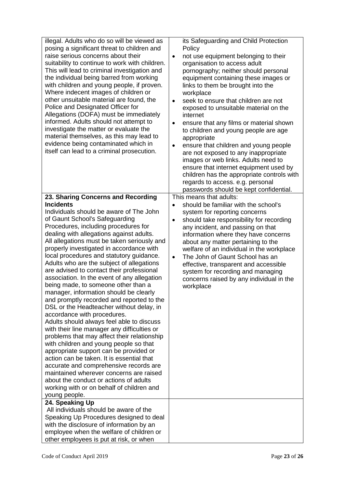| illegal. Adults who do so will be viewed as<br>posing a significant threat to children and<br>raise serious concerns about their<br>suitability to continue to work with children.<br>This will lead to criminal investigation and<br>the individual being barred from working<br>with children and young people, if proven.<br>Where indecent images of children or<br>other unsuitable material are found, the<br>Police and Designated Officer for<br>Allegations (DOFA) must be immediately<br>informed. Adults should not attempt to<br>investigate the matter or evaluate the<br>material themselves, as this may lead to<br>evidence being contaminated which in<br>itself can lead to a criminal prosecution.                                                                                                                                                                                                                                                                                                                                                                                                                              | its Safeguarding and Child Protection<br>Policy<br>not use equipment belonging to their<br>$\bullet$<br>organisation to access adult<br>pornography; neither should personal<br>equipment containing these images or<br>links to them be brought into the<br>workplace<br>seek to ensure that children are not<br>$\bullet$<br>exposed to unsuitable material on the<br>internet<br>ensure that any films or material shown<br>$\bullet$<br>to children and young people are age<br>appropriate<br>ensure that children and young people<br>$\bullet$<br>are not exposed to any inappropriate<br>images or web links. Adults need to<br>ensure that internet equipment used by<br>children has the appropriate controls with<br>regards to access. e.g. personal<br>passwords should be kept confidential. |
|----------------------------------------------------------------------------------------------------------------------------------------------------------------------------------------------------------------------------------------------------------------------------------------------------------------------------------------------------------------------------------------------------------------------------------------------------------------------------------------------------------------------------------------------------------------------------------------------------------------------------------------------------------------------------------------------------------------------------------------------------------------------------------------------------------------------------------------------------------------------------------------------------------------------------------------------------------------------------------------------------------------------------------------------------------------------------------------------------------------------------------------------------|------------------------------------------------------------------------------------------------------------------------------------------------------------------------------------------------------------------------------------------------------------------------------------------------------------------------------------------------------------------------------------------------------------------------------------------------------------------------------------------------------------------------------------------------------------------------------------------------------------------------------------------------------------------------------------------------------------------------------------------------------------------------------------------------------------|
| 23. Sharing Concerns and Recording<br><b>Incidents</b>                                                                                                                                                                                                                                                                                                                                                                                                                                                                                                                                                                                                                                                                                                                                                                                                                                                                                                                                                                                                                                                                                             | This means that adults:<br>should be familiar with the school's                                                                                                                                                                                                                                                                                                                                                                                                                                                                                                                                                                                                                                                                                                                                            |
| Individuals should be aware of The John<br>of Gaunt School's Safeguarding<br>Procedures, including procedures for<br>dealing with allegations against adults.<br>All allegations must be taken seriously and<br>properly investigated in accordance with<br>local procedures and statutory guidance.<br>Adults who are the subject of allegations<br>are advised to contact their professional<br>association. In the event of any allegation<br>being made, to someone other than a<br>manager, information should be clearly<br>and promptly recorded and reported to the<br>DSL or the Headteacher without delay, in<br>accordance with procedures.<br>Adults should always feel able to discuss<br>with their line manager any difficulties or<br>problems that may affect their relationship<br>with children and young people so that<br>appropriate support can be provided or<br>action can be taken. It is essential that<br>accurate and comprehensive records are<br>maintained wherever concerns are raised<br>about the conduct or actions of adults<br>working with or on behalf of children and<br>young people.<br>24. Speaking Up | system for reporting concerns<br>should take responsibility for recording<br>$\bullet$<br>any incident, and passing on that<br>information where they have concerns<br>about any matter pertaining to the<br>welfare of an individual in the workplace<br>The John of Gaunt School has an<br>$\bullet$<br>effective, transparent and accessible<br>system for recording and managing<br>concerns raised by any individual in the<br>workplace                                                                                                                                                                                                                                                                                                                                                              |
| All individuals should be aware of the<br>Speaking Up Procedures designed to deal<br>with the disclosure of information by an<br>employee when the welfare of children or<br>other employees is put at risk, or when                                                                                                                                                                                                                                                                                                                                                                                                                                                                                                                                                                                                                                                                                                                                                                                                                                                                                                                               |                                                                                                                                                                                                                                                                                                                                                                                                                                                                                                                                                                                                                                                                                                                                                                                                            |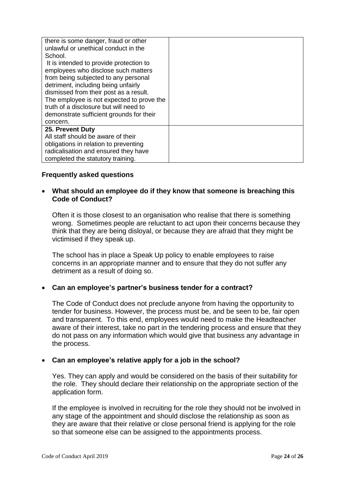| there is some danger, fraud or other      |  |
|-------------------------------------------|--|
| unlawful or unethical conduct in the      |  |
| School.                                   |  |
| It is intended to provide protection to   |  |
| employees who disclose such matters       |  |
| from being subjected to any personal      |  |
| detriment, including being unfairly       |  |
| dismissed from their post as a result.    |  |
| The employee is not expected to prove the |  |
| truth of a disclosure but will need to    |  |
| demonstrate sufficient grounds for their  |  |
| concern.                                  |  |
| 25. Prevent Duty                          |  |
| All staff should be aware of their        |  |
| obligations in relation to preventing     |  |
| radicalisation and ensured they have      |  |
| completed the statutory training.         |  |

## **Frequently asked questions**

## • **What should an employee do if they know that someone is breaching this Code of Conduct?**

Often it is those closest to an organisation who realise that there is something wrong. Sometimes people are reluctant to act upon their concerns because they think that they are being disloyal, or because they are afraid that they might be victimised if they speak up.

The school has in place a Speak Up policy to enable employees to raise concerns in an appropriate manner and to ensure that they do not suffer any detriment as a result of doing so.

## • **Can an employee's partner's business tender for a contract?**

The Code of Conduct does not preclude anyone from having the opportunity to tender for business. However, the process must be, and be seen to be, fair open and transparent. To this end, employees would need to make the Headteacher aware of their interest, take no part in the tendering process and ensure that they do not pass on any information which would give that business any advantage in the process.

## • **Can an employee's relative apply for a job in the school?**

Yes. They can apply and would be considered on the basis of their suitability for the role. They should declare their relationship on the appropriate section of the application form.

If the employee is involved in recruiting for the role they should not be involved in any stage of the appointment and should disclose the relationship as soon as they are aware that their relative or close personal friend is applying for the role so that someone else can be assigned to the appointments process.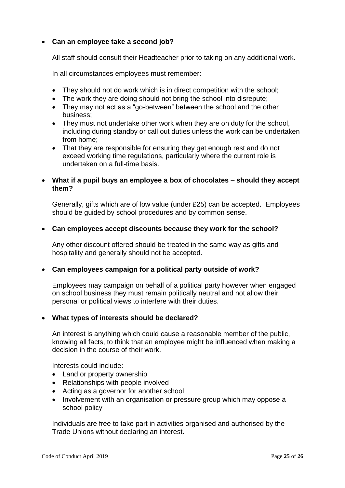## • **Can an employee take a second job?**

All staff should consult their Headteacher prior to taking on any additional work.

In all circumstances employees must remember:

- They should not do work which is in direct competition with the school;
- The work they are doing should not bring the school into disrepute:
- They may not act as a "go-between" between the school and the other business;
- They must not undertake other work when they are on duty for the school, including during standby or call out duties unless the work can be undertaken from home;
- That they are responsible for ensuring they get enough rest and do not exceed working time regulations, particularly where the current role is undertaken on a full-time basis.

#### • **What if a pupil buys an employee a box of chocolates – should they accept them?**

Generally, gifts which are of low value (under £25) can be accepted. Employees should be guided by school procedures and by common sense.

#### • **Can employees accept discounts because they work for the school?**

Any other discount offered should be treated in the same way as gifts and hospitality and generally should not be accepted.

#### • **Can employees campaign for a political party outside of work?**

Employees may campaign on behalf of a political party however when engaged on school business they must remain politically neutral and not allow their personal or political views to interfere with their duties.

#### • **What types of interests should be declared?**

An interest is anything which could cause a reasonable member of the public, knowing all facts, to think that an employee might be influenced when making a decision in the course of their work.

Interests could include:

- Land or property ownership
- Relationships with people involved
- Acting as a governor for another school
- Involvement with an organisation or pressure group which may oppose a school policy

Individuals are free to take part in activities organised and authorised by the Trade Unions without declaring an interest.